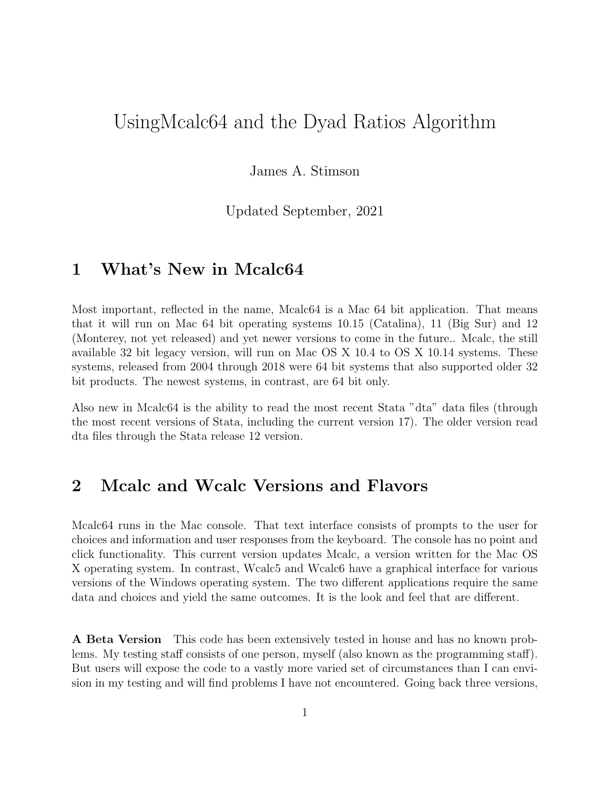# UsingMcalc64 and the Dyad Ratios Algorithm

James A. Stimson

Updated September, 2021

## 1 What's New in Mcalc64

Most important, reflected in the name, Mcalc64 is a Mac 64 bit application. That means that it will run on Mac 64 bit operating systems 10.15 (Catalina), 11 (Big Sur) and 12 (Monterey, not yet released) and yet newer versions to come in the future.. Mcalc, the still available 32 bit legacy version, will run on Mac OS X 10.4 to OS X 10.14 systems. These systems, released from 2004 through 2018 were 64 bit systems that also supported older 32 bit products. The newest systems, in contrast, are 64 bit only.

Also new in Mcalc64 is the ability to read the most recent Stata "dta" data files (through the most recent versions of Stata, including the current version 17). The older version read dta files through the Stata release 12 version.

# 2 Mcalc and Wcalc Versions and Flavors

Mcalc64 runs in the Mac console. That text interface consists of prompts to the user for choices and information and user responses from the keyboard. The console has no point and click functionality. This current version updates Mcalc, a version written for the Mac OS X operating system. In contrast, Wcalc5 and Wcalc6 have a graphical interface for various versions of the Windows operating system. The two different applications require the same data and choices and yield the same outcomes. It is the look and feel that are different.

A Beta Version This code has been extensively tested in house and has no known problems. My testing staff consists of one person, myself (also known as the programming staff). But users will expose the code to a vastly more varied set of circumstances than I can envision in my testing and will find problems I have not encountered. Going back three versions,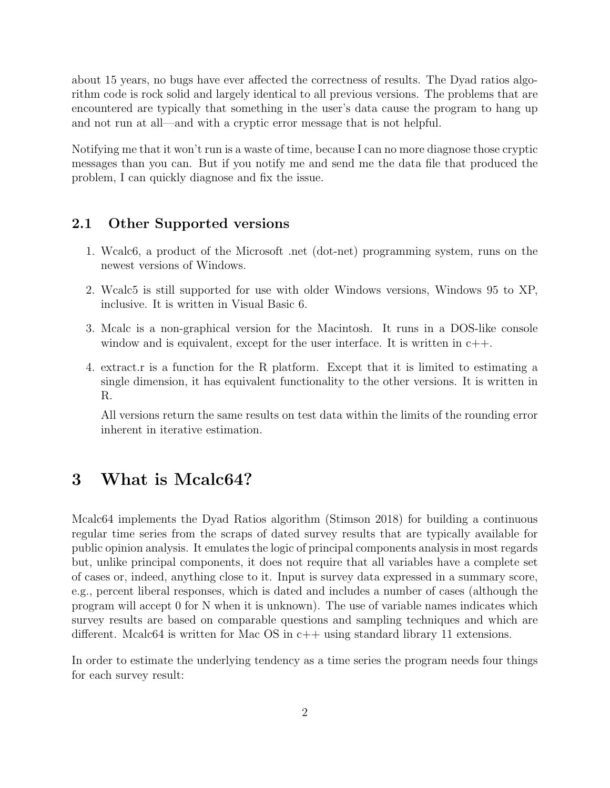about 15 years, no bugs have ever affected the correctness of results. The Dyad ratios algorithm code is rock solid and largely identical to all previous versions. The problems that are encountered are typically that something in the user's data cause the program to hang up and not run at all—and with a cryptic error message that is not helpful.

Notifying me that it won't run is a waste of time, because I can no more diagnose those cryptic messages than you can. But if you notify me and send me the data file that produced the problem, I can quickly diagnose and fix the issue.

#### 2.1 Other Supported versions

- 1. Wcalc6, a product of the Microsoft .net (dot-net) programming system, runs on the newest versions of Windows.
- 2. Wcalc5 is still supported for use with older Windows versions, Windows 95 to XP, inclusive. It is written in Visual Basic 6.
- 3. Mcalc is a non-graphical version for the Macintosh. It runs in a DOS-like console window and is equivalent, except for the user interface. It is written in  $c++$ .
- 4. extract.r is a function for the R platform. Except that it is limited to estimating a single dimension, it has equivalent functionality to the other versions. It is written in R.

All versions return the same results on test data within the limits of the rounding error inherent in iterative estimation.

# 3 What is Mcalc64?

Mcalc64 implements the Dyad Ratios algorithm (Stimson 2018) for building a continuous regular time series from the scraps of dated survey results that are typically available for public opinion analysis. It emulates the logic of principal components analysis in most regards but, unlike principal components, it does not require that all variables have a complete set of cases or, indeed, anything close to it. Input is survey data expressed in a summary score, e.g., percent liberal responses, which is dated and includes a number of cases (although the program will accept 0 for N when it is unknown). The use of variable names indicates which survey results are based on comparable questions and sampling techniques and which are different. Mcalc64 is written for Mac OS in c++ using standard library 11 extensions.

In order to estimate the underlying tendency as a time series the program needs four things for each survey result: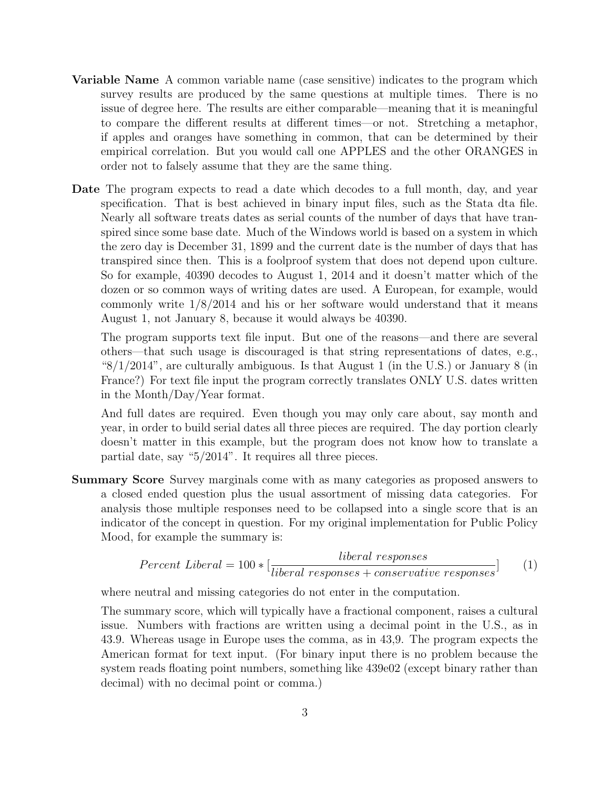- Variable Name A common variable name (case sensitive) indicates to the program which survey results are produced by the same questions at multiple times. There is no issue of degree here. The results are either comparable—meaning that it is meaningful to compare the different results at different times—or not. Stretching a metaphor, if apples and oranges have something in common, that can be determined by their empirical correlation. But you would call one APPLES and the other ORANGES in order not to falsely assume that they are the same thing.
- Date The program expects to read a date which decodes to a full month, day, and year specification. That is best achieved in binary input files, such as the Stata dta file. Nearly all software treats dates as serial counts of the number of days that have transpired since some base date. Much of the Windows world is based on a system in which the zero day is December 31, 1899 and the current date is the number of days that has transpired since then. This is a foolproof system that does not depend upon culture. So for example, 40390 decodes to August 1, 2014 and it doesn't matter which of the dozen or so common ways of writing dates are used. A European, for example, would commonly write 1/8/2014 and his or her software would understand that it means August 1, not January 8, because it would always be 40390.

The program supports text file input. But one of the reasons—and there are several others—that such usage is discouraged is that string representations of dates, e.g., " $8/1/2014$ ", are culturally ambiguous. Is that August 1 (in the U.S.) or January 8 (in France?) For text file input the program correctly translates ONLY U.S. dates written in the Month/Day/Year format.

And full dates are required. Even though you may only care about, say month and year, in order to build serial dates all three pieces are required. The day portion clearly doesn't matter in this example, but the program does not know how to translate a partial date, say "5/2014". It requires all three pieces.

Summary Score Survey marginals come with as many categories as proposed answers to a closed ended question plus the usual assortment of missing data categories. For analysis those multiple responses need to be collapsed into a single score that is an indicator of the concept in question. For my original implementation for Public Policy Mood, for example the summary is:

$$
Percent\ Liberal = 100 * [\frac{liberal\ responses}{liberal\ responses + conservative\ responses}] \tag{1}
$$

where neutral and missing categories do not enter in the computation.

The summary score, which will typically have a fractional component, raises a cultural issue. Numbers with fractions are written using a decimal point in the U.S., as in 43.9. Whereas usage in Europe uses the comma, as in 43,9. The program expects the American format for text input. (For binary input there is no problem because the system reads floating point numbers, something like 439e02 (except binary rather than decimal) with no decimal point or comma.)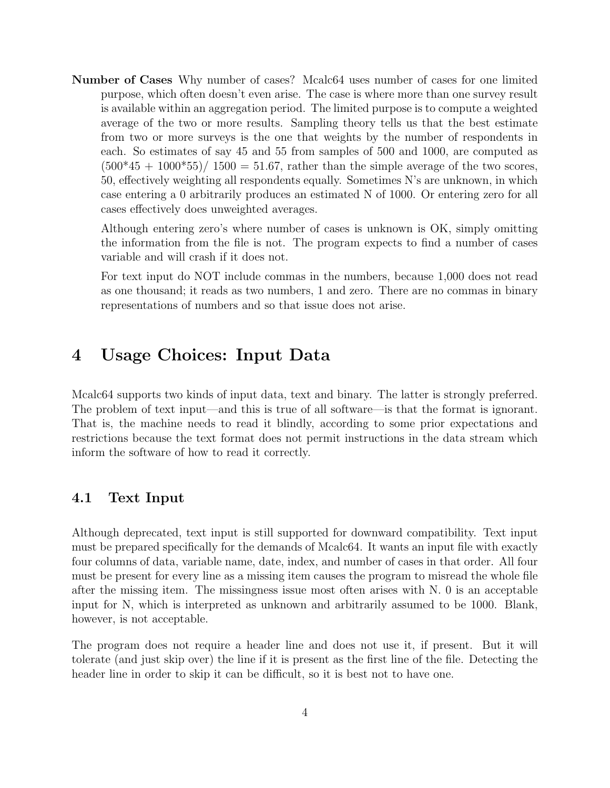Number of Cases Why number of cases? Mcalc64 uses number of cases for one limited purpose, which often doesn't even arise. The case is where more than one survey result is available within an aggregation period. The limited purpose is to compute a weighted average of the two or more results. Sampling theory tells us that the best estimate from two or more surveys is the one that weights by the number of respondents in each. So estimates of say 45 and 55 from samples of 500 and 1000, are computed as  $(500*45 + 1000*55)/1500 = 51.67$ , rather than the simple average of the two scores, 50, effectively weighting all respondents equally. Sometimes N's are unknown, in which case entering a 0 arbitrarily produces an estimated N of 1000. Or entering zero for all cases effectively does unweighted averages.

Although entering zero's where number of cases is unknown is OK, simply omitting the information from the file is not. The program expects to find a number of cases variable and will crash if it does not.

For text input do NOT include commas in the numbers, because 1,000 does not read as one thousand; it reads as two numbers, 1 and zero. There are no commas in binary representations of numbers and so that issue does not arise.

## 4 Usage Choices: Input Data

Mcalc64 supports two kinds of input data, text and binary. The latter is strongly preferred. The problem of text input—and this is true of all software—is that the format is ignorant. That is, the machine needs to read it blindly, according to some prior expectations and restrictions because the text format does not permit instructions in the data stream which inform the software of how to read it correctly.

#### 4.1 Text Input

Although deprecated, text input is still supported for downward compatibility. Text input must be prepared specifically for the demands of Mcalc64. It wants an input file with exactly four columns of data, variable name, date, index, and number of cases in that order. All four must be present for every line as a missing item causes the program to misread the whole file after the missing item. The missingness issue most often arises with N. 0 is an acceptable input for N, which is interpreted as unknown and arbitrarily assumed to be 1000. Blank, however, is not acceptable.

The program does not require a header line and does not use it, if present. But it will tolerate (and just skip over) the line if it is present as the first line of the file. Detecting the header line in order to skip it can be difficult, so it is best not to have one.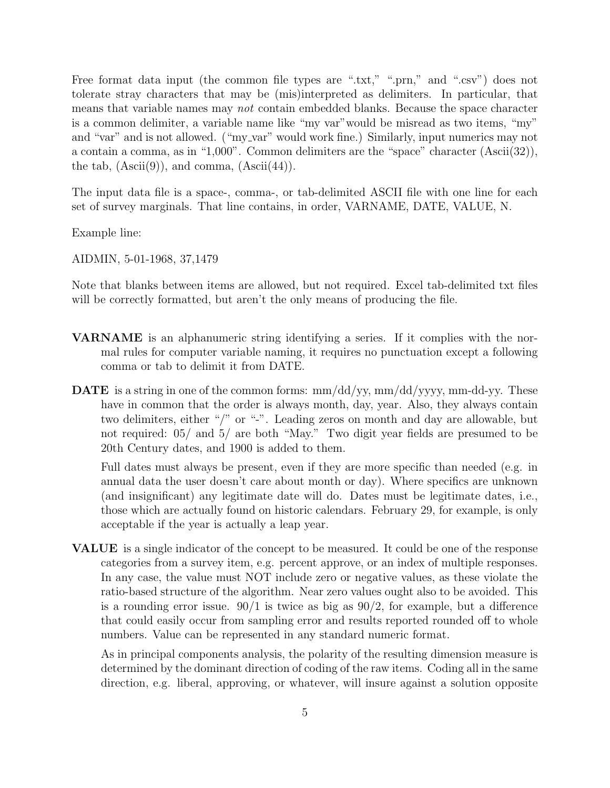Free format data input (the common file types are ".txt," ".prn," and ".csv") does not tolerate stray characters that may be (mis)interpreted as delimiters. In particular, that means that variable names may not contain embedded blanks. Because the space character is a common delimiter, a variable name like "my var"would be misread as two items, "my" and "var" and is not allowed. ("my\_var" would work fine.) Similarly, input numerics may not a contain a comma, as in "1,000". Common delimiters are the "space" character (Ascii(32)), the tab,  $(Ascii(9))$ , and comma,  $(Ascii(44))$ .

The input data file is a space-, comma-, or tab-delimited ASCII file with one line for each set of survey marginals. That line contains, in order, VARNAME, DATE, VALUE, N.

Example line:

AIDMIN, 5-01-1968, 37,1479

Note that blanks between items are allowed, but not required. Excel tab-delimited txt files will be correctly formatted, but aren't the only means of producing the file.

- VARNAME is an alphanumeric string identifying a series. If it complies with the normal rules for computer variable naming, it requires no punctuation except a following comma or tab to delimit it from DATE.
- **DATE** is a string in one of the common forms:  $mm/dd/yy$ ,  $mm/dd/yy$ y,  $mm-dd$ -yy. These have in common that the order is always month, day, year. Also, they always contain two delimiters, either "/" or "-". Leading zeros on month and day are allowable, but not required: 05/ and 5/ are both "May." Two digit year fields are presumed to be 20th Century dates, and 1900 is added to them.

Full dates must always be present, even if they are more specific than needed (e.g. in annual data the user doesn't care about month or day). Where specifics are unknown (and insignificant) any legitimate date will do. Dates must be legitimate dates, i.e., those which are actually found on historic calendars. February 29, for example, is only acceptable if the year is actually a leap year.

VALUE is a single indicator of the concept to be measured. It could be one of the response categories from a survey item, e.g. percent approve, or an index of multiple responses. In any case, the value must NOT include zero or negative values, as these violate the ratio-based structure of the algorithm. Near zero values ought also to be avoided. This is a rounding error issue.  $90/1$  is twice as big as  $90/2$ , for example, but a difference that could easily occur from sampling error and results reported rounded off to whole numbers. Value can be represented in any standard numeric format.

As in principal components analysis, the polarity of the resulting dimension measure is determined by the dominant direction of coding of the raw items. Coding all in the same direction, e.g. liberal, approving, or whatever, will insure against a solution opposite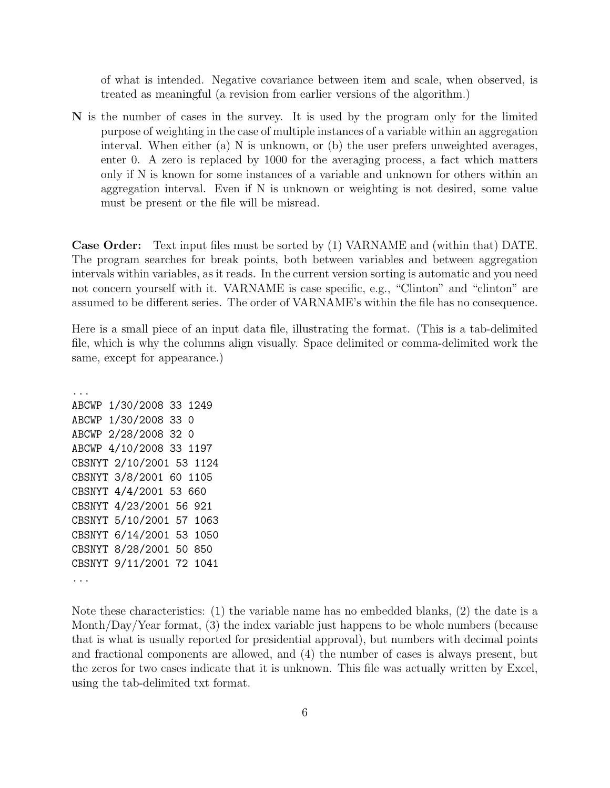of what is intended. Negative covariance between item and scale, when observed, is treated as meaningful (a revision from earlier versions of the algorithm.)

N is the number of cases in the survey. It is used by the program only for the limited purpose of weighting in the case of multiple instances of a variable within an aggregation interval. When either (a) N is unknown, or (b) the user prefers unweighted averages, enter 0. A zero is replaced by 1000 for the averaging process, a fact which matters only if N is known for some instances of a variable and unknown for others within an aggregation interval. Even if N is unknown or weighting is not desired, some value must be present or the file will be misread.

Case Order: Text input files must be sorted by (1) VARNAME and (within that) DATE. The program searches for break points, both between variables and between aggregation intervals within variables, as it reads. In the current version sorting is automatic and you need not concern yourself with it. VARNAME is case specific, e.g., "Clinton" and "clinton" are assumed to be different series. The order of VARNAME's within the file has no consequence.

Here is a small piece of an input data file, illustrating the format. (This is a tab-delimited file, which is why the columns align visually. Space delimited or comma-delimited work the same, except for appearance.)

... ABCWP 1/30/2008 33 1249 ABCWP 1/30/2008 33 0 ABCWP 2/28/2008 32 0 ABCWP 4/10/2008 33 1197 CBSNYT 2/10/2001 53 1124 CBSNYT 3/8/2001 60 1105 CBSNYT 4/4/2001 53 660 CBSNYT 4/23/2001 56 921 CBSNYT 5/10/2001 57 1063 CBSNYT 6/14/2001 53 1050 CBSNYT 8/28/2001 50 850 CBSNYT 9/11/2001 72 1041 ...

Note these characteristics: (1) the variable name has no embedded blanks, (2) the date is a Month/Day/Year format, (3) the index variable just happens to be whole numbers (because that is what is usually reported for presidential approval), but numbers with decimal points and fractional components are allowed, and (4) the number of cases is always present, but the zeros for two cases indicate that it is unknown. This file was actually written by Excel, using the tab-delimited txt format.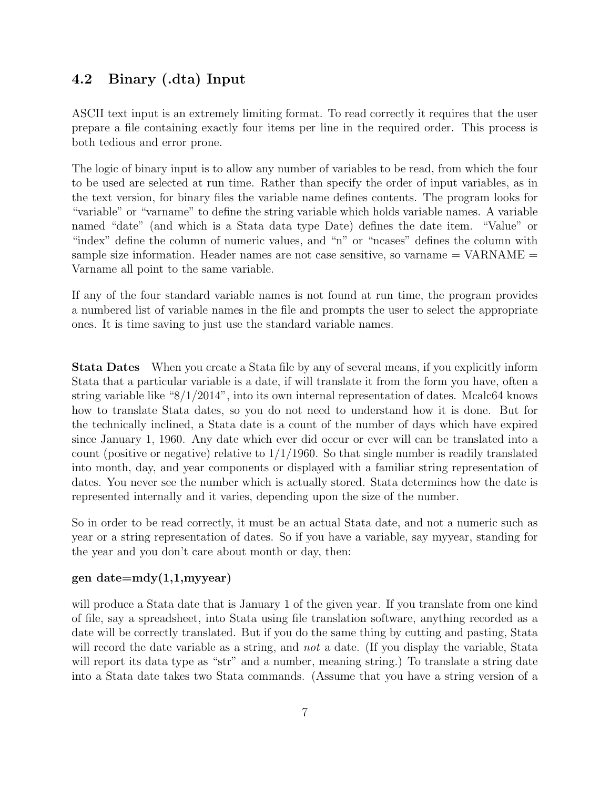#### 4.2 Binary (.dta) Input

ASCII text input is an extremely limiting format. To read correctly it requires that the user prepare a file containing exactly four items per line in the required order. This process is both tedious and error prone.

The logic of binary input is to allow any number of variables to be read, from which the four to be used are selected at run time. Rather than specify the order of input variables, as in the text version, for binary files the variable name defines contents. The program looks for "variable" or "varname" to define the string variable which holds variable names. A variable named "date" (and which is a Stata data type Date) defines the date item. "Value" or "index" define the column of numeric values, and "n" or "ncases" defines the column with sample size information. Header names are not case sensitive, so varname = VARNAME = Varname all point to the same variable.

If any of the four standard variable names is not found at run time, the program provides a numbered list of variable names in the file and prompts the user to select the appropriate ones. It is time saving to just use the standard variable names.

Stata Dates When you create a Stata file by any of several means, if you explicitly inform Stata that a particular variable is a date, if will translate it from the form you have, often a string variable like "8/1/2014", into its own internal representation of dates. Mcalc64 knows how to translate Stata dates, so you do not need to understand how it is done. But for the technically inclined, a Stata date is a count of the number of days which have expired since January 1, 1960. Any date which ever did occur or ever will can be translated into a count (positive or negative) relative to  $1/1/1960$ . So that single number is readily translated into month, day, and year components or displayed with a familiar string representation of dates. You never see the number which is actually stored. Stata determines how the date is represented internally and it varies, depending upon the size of the number.

So in order to be read correctly, it must be an actual Stata date, and not a numeric such as year or a string representation of dates. So if you have a variable, say myyear, standing for the year and you don't care about month or day, then:

#### gen date $=$ mdy $(1,1,$ myyear)

will produce a Stata date that is January 1 of the given year. If you translate from one kind of file, say a spreadsheet, into Stata using file translation software, anything recorded as a date will be correctly translated. But if you do the same thing by cutting and pasting, Stata will record the date variable as a string, and *not* a date. (If you display the variable, Stata will report its data type as "str" and a number, meaning string.) To translate a string date into a Stata date takes two Stata commands. (Assume that you have a string version of a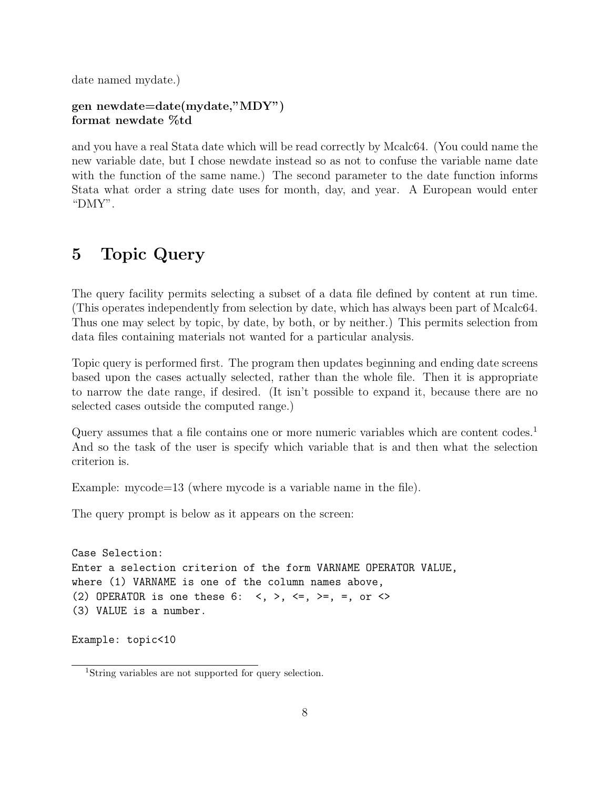date named mydate.)

#### gen newdate=date(mydate,"MDY") format newdate %td

and you have a real Stata date which will be read correctly by Mcalc64. (You could name the new variable date, but I chose newdate instead so as not to confuse the variable name date with the function of the same name.) The second parameter to the date function informs Stata what order a string date uses for month, day, and year. A European would enter "DMY".

# 5 Topic Query

The query facility permits selecting a subset of a data file defined by content at run time. (This operates independently from selection by date, which has always been part of Mcalc64. Thus one may select by topic, by date, by both, or by neither.) This permits selection from data files containing materials not wanted for a particular analysis.

Topic query is performed first. The program then updates beginning and ending date screens based upon the cases actually selected, rather than the whole file. Then it is appropriate to narrow the date range, if desired. (It isn't possible to expand it, because there are no selected cases outside the computed range.)

Query assumes that a file contains one or more numeric variables which are content codes.<sup>1</sup> And so the task of the user is specify which variable that is and then what the selection criterion is.

Example: mycode=13 (where mycode is a variable name in the file).

The query prompt is below as it appears on the screen:

```
Case Selection:
Enter a selection criterion of the form VARNAME OPERATOR VALUE,
where (1) VARNAME is one of the column names above,
(2) OPERATOR is one these 6: \langle , \rangle, \langle = , \rangle = , =, or \langle >(3) VALUE is a number.
```

```
Example: topic<10
```
<sup>1</sup>String variables are not supported for query selection.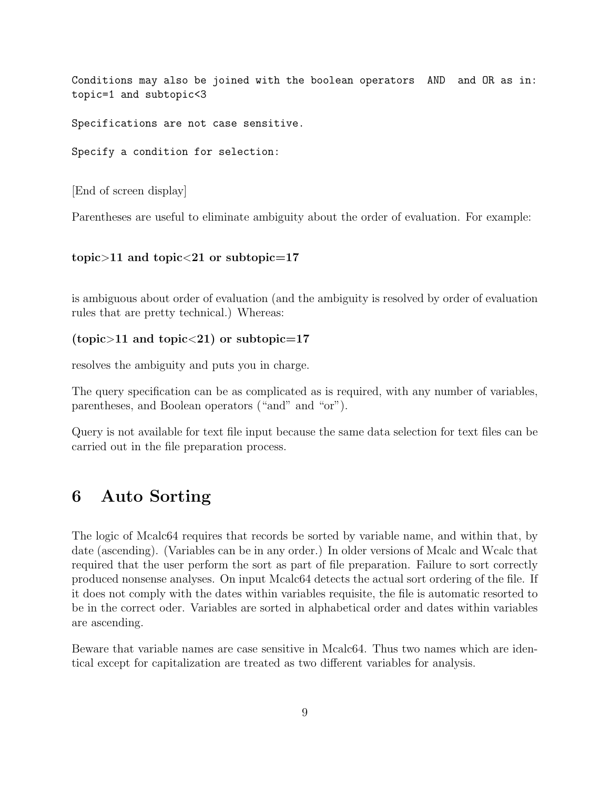Conditions may also be joined with the boolean operators AND and OR as in: topic=1 and subtopic<3

Specifications are not case sensitive.

Specify a condition for selection:

[End of screen display]

Parentheses are useful to eliminate ambiguity about the order of evaluation. For example:

#### topic $>11$  and topic $<$ 21 or subtopic=17

is ambiguous about order of evaluation (and the ambiguity is resolved by order of evaluation rules that are pretty technical.) Whereas:

#### (topic>11 and topic<21) or subtopic=17

resolves the ambiguity and puts you in charge.

The query specification can be as complicated as is required, with any number of variables, parentheses, and Boolean operators ("and" and "or").

Query is not available for text file input because the same data selection for text files can be carried out in the file preparation process.

## 6 Auto Sorting

The logic of Mcalc64 requires that records be sorted by variable name, and within that, by date (ascending). (Variables can be in any order.) In older versions of Mcalc and Wcalc that required that the user perform the sort as part of file preparation. Failure to sort correctly produced nonsense analyses. On input Mcalc64 detects the actual sort ordering of the file. If it does not comply with the dates within variables requisite, the file is automatic resorted to be in the correct oder. Variables are sorted in alphabetical order and dates within variables are ascending.

Beware that variable names are case sensitive in Mcalc64. Thus two names which are identical except for capitalization are treated as two different variables for analysis.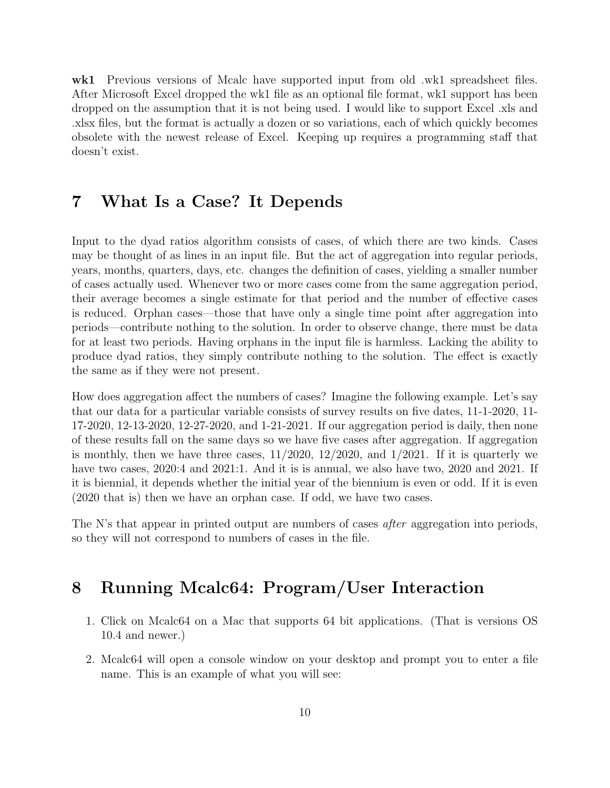wk1 Previous versions of Mcalc have supported input from old .wk1 spreadsheet files. After Microsoft Excel dropped the wk1 file as an optional file format, wk1 support has been dropped on the assumption that it is not being used. I would like to support Excel .xls and .xlsx files, but the format is actually a dozen or so variations, each of which quickly becomes obsolete with the newest release of Excel. Keeping up requires a programming staff that doesn't exist.

# 7 What Is a Case? It Depends

Input to the dyad ratios algorithm consists of cases, of which there are two kinds. Cases may be thought of as lines in an input file. But the act of aggregation into regular periods, years, months, quarters, days, etc. changes the definition of cases, yielding a smaller number of cases actually used. Whenever two or more cases come from the same aggregation period, their average becomes a single estimate for that period and the number of effective cases is reduced. Orphan cases—those that have only a single time point after aggregation into periods—contribute nothing to the solution. In order to observe change, there must be data for at least two periods. Having orphans in the input file is harmless. Lacking the ability to produce dyad ratios, they simply contribute nothing to the solution. The effect is exactly the same as if they were not present.

How does aggregation affect the numbers of cases? Imagine the following example. Let's say that our data for a particular variable consists of survey results on five dates, 11-1-2020, 11- 17-2020, 12-13-2020, 12-27-2020, and 1-21-2021. If our aggregation period is daily, then none of these results fall on the same days so we have five cases after aggregation. If aggregation is monthly, then we have three cases,  $11/2020$ ,  $12/2020$ , and  $1/2021$ . If it is quarterly we have two cases, 2020:4 and 2021:1. And it is is annual, we also have two, 2020 and 2021. If it is biennial, it depends whether the initial year of the biennium is even or odd. If it is even (2020 that is) then we have an orphan case. If odd, we have two cases.

The N's that appear in printed output are numbers of cases *after* aggregation into periods, so they will not correspond to numbers of cases in the file.

# 8 Running Mcalc64: Program/User Interaction

- 1. Click on Mcalc64 on a Mac that supports 64 bit applications. (That is versions OS 10.4 and newer.)
- 2. Mcalc64 will open a console window on your desktop and prompt you to enter a file name. This is an example of what you will see: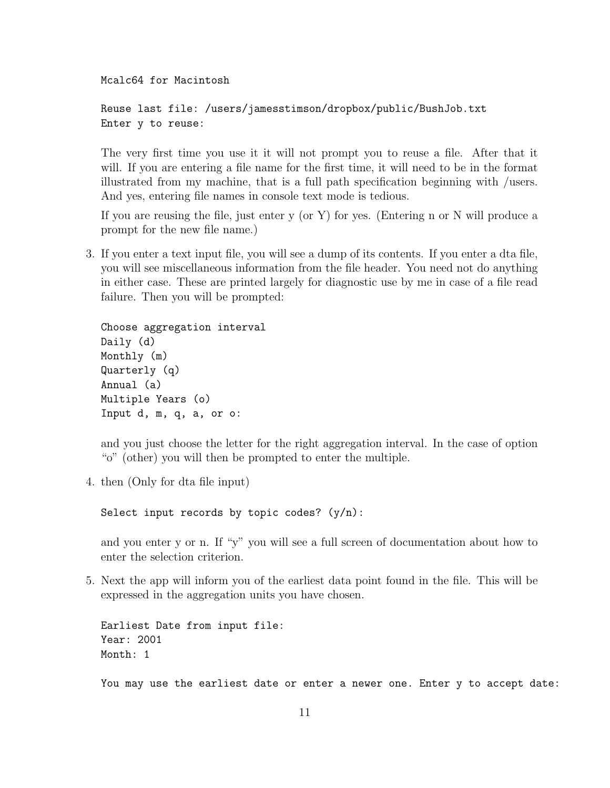Mcalc64 for Macintosh

```
Reuse last file: /users/jamesstimson/dropbox/public/BushJob.txt
Enter y to reuse:
```
The very first time you use it it will not prompt you to reuse a file. After that it will. If you are entering a file name for the first time, it will need to be in the format illustrated from my machine, that is a full path specification beginning with /users. And yes, entering file names in console text mode is tedious.

If you are reusing the file, just enter y (or Y) for yes. (Entering n or N will produce a prompt for the new file name.)

3. If you enter a text input file, you will see a dump of its contents. If you enter a dta file, you will see miscellaneous information from the file header. You need not do anything in either case. These are printed largely for diagnostic use by me in case of a file read failure. Then you will be prompted:

```
Choose aggregation interval
Daily (d)
Monthly (m)
Quarterly (q)
Annual (a)
Multiple Years (o)
Input d, m, q, a, or o:
```
and you just choose the letter for the right aggregation interval. In the case of option "o" (other) you will then be prompted to enter the multiple.

4. then (Only for dta file input)

Select input records by topic codes?  $(y/n)$ :

and you enter y or n. If "y" you will see a full screen of documentation about how to enter the selection criterion.

5. Next the app will inform you of the earliest data point found in the file. This will be expressed in the aggregation units you have chosen.

Earliest Date from input file: Year: 2001 Month: 1

You may use the earliest date or enter a newer one. Enter y to accept date: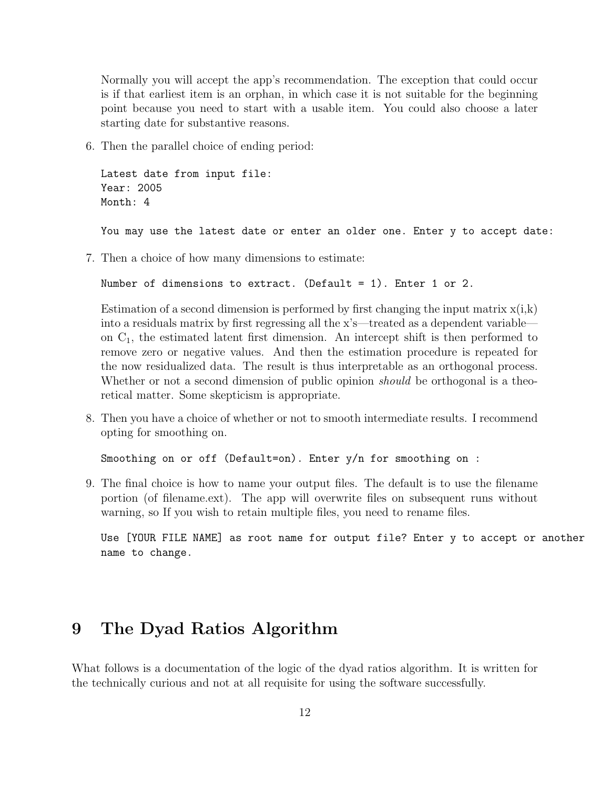Normally you will accept the app's recommendation. The exception that could occur is if that earliest item is an orphan, in which case it is not suitable for the beginning point because you need to start with a usable item. You could also choose a later starting date for substantive reasons.

6. Then the parallel choice of ending period:

```
Latest date from input file:
Year: 2005
Month: 4
```
You may use the latest date or enter an older one. Enter y to accept date:

7. Then a choice of how many dimensions to estimate:

```
Number of dimensions to extract. (Default = 1). Enter 1 or 2.
```
Estimation of a second dimension is performed by first changing the input matrix  $x(i,k)$ into a residuals matrix by first regressing all the x's—treated as a dependent variable on  $C_1$ , the estimated latent first dimension. An intercept shift is then performed to remove zero or negative values. And then the estimation procedure is repeated for the now residualized data. The result is thus interpretable as an orthogonal process. Whether or not a second dimension of public opinion *should* be orthogonal is a theoretical matter. Some skepticism is appropriate.

8. Then you have a choice of whether or not to smooth intermediate results. I recommend opting for smoothing on.

Smoothing on or off (Default=on). Enter y/n for smoothing on :

9. The final choice is how to name your output files. The default is to use the filename portion (of filename.ext). The app will overwrite files on subsequent runs without warning, so If you wish to retain multiple files, you need to rename files.

Use [YOUR FILE NAME] as root name for output file? Enter y to accept or another name to change.

## 9 The Dyad Ratios Algorithm

What follows is a documentation of the logic of the dyad ratios algorithm. It is written for the technically curious and not at all requisite for using the software successfully.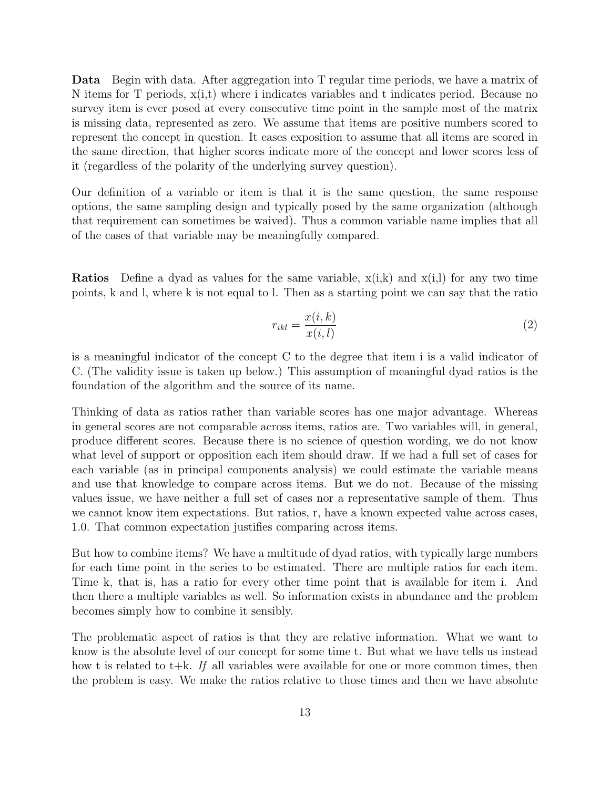Data Begin with data. After aggregation into T regular time periods, we have a matrix of N items for T periods,  $x(i,t)$  where i indicates variables and t indicates period. Because no survey item is ever posed at every consecutive time point in the sample most of the matrix is missing data, represented as zero. We assume that items are positive numbers scored to represent the concept in question. It eases exposition to assume that all items are scored in the same direction, that higher scores indicate more of the concept and lower scores less of it (regardless of the polarity of the underlying survey question).

Our definition of a variable or item is that it is the same question, the same response options, the same sampling design and typically posed by the same organization (although that requirement can sometimes be waived). Thus a common variable name implies that all of the cases of that variable may be meaningfully compared.

**Ratios** Define a dyad as values for the same variable,  $x(i,k)$  and  $x(i,l)$  for any two time points, k and l, where k is not equal to l. Then as a starting point we can say that the ratio

$$
r_{ikl} = \frac{x(i,k)}{x(i,l)}\tag{2}
$$

is a meaningful indicator of the concept C to the degree that item i is a valid indicator of C. (The validity issue is taken up below.) This assumption of meaningful dyad ratios is the foundation of the algorithm and the source of its name.

Thinking of data as ratios rather than variable scores has one major advantage. Whereas in general scores are not comparable across items, ratios are. Two variables will, in general, produce different scores. Because there is no science of question wording, we do not know what level of support or opposition each item should draw. If we had a full set of cases for each variable (as in principal components analysis) we could estimate the variable means and use that knowledge to compare across items. But we do not. Because of the missing values issue, we have neither a full set of cases nor a representative sample of them. Thus we cannot know item expectations. But ratios, r, have a known expected value across cases, 1.0. That common expectation justifies comparing across items.

But how to combine items? We have a multitude of dyad ratios, with typically large numbers for each time point in the series to be estimated. There are multiple ratios for each item. Time k, that is, has a ratio for every other time point that is available for item i. And then there a multiple variables as well. So information exists in abundance and the problem becomes simply how to combine it sensibly.

The problematic aspect of ratios is that they are relative information. What we want to know is the absolute level of our concept for some time t. But what we have tells us instead how t is related to t $+k$ . If all variables were available for one or more common times, then the problem is easy. We make the ratios relative to those times and then we have absolute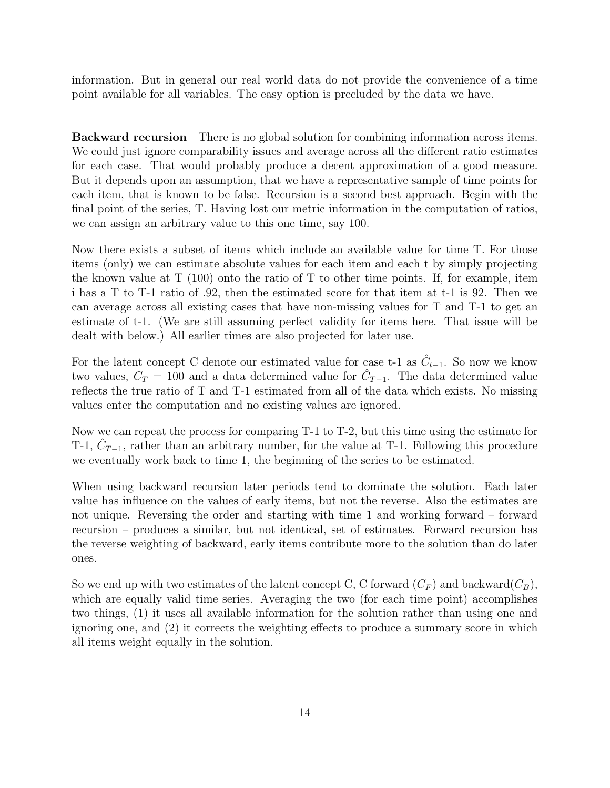information. But in general our real world data do not provide the convenience of a time point available for all variables. The easy option is precluded by the data we have.

Backward recursion There is no global solution for combining information across items. We could just ignore comparability issues and average across all the different ratio estimates for each case. That would probably produce a decent approximation of a good measure. But it depends upon an assumption, that we have a representative sample of time points for each item, that is known to be false. Recursion is a second best approach. Begin with the final point of the series, T. Having lost our metric information in the computation of ratios, we can assign an arbitrary value to this one time, say 100.

Now there exists a subset of items which include an available value for time T. For those items (only) we can estimate absolute values for each item and each t by simply projecting the known value at T (100) onto the ratio of T to other time points. If, for example, item i has a T to T-1 ratio of .92, then the estimated score for that item at t-1 is 92. Then we can average across all existing cases that have non-missing values for T and T-1 to get an estimate of t-1. (We are still assuming perfect validity for items here. That issue will be dealt with below.) All earlier times are also projected for later use.

For the latent concept C denote our estimated value for case t-1 as  $\hat{C}_{t-1}$ . So now we know two values,  $C_T = 100$  and a data determined value for  $\hat{C}_{T-1}$ . The data determined value reflects the true ratio of T and T-1 estimated from all of the data which exists. No missing values enter the computation and no existing values are ignored.

Now we can repeat the process for comparing T-1 to T-2, but this time using the estimate for T-1,  $\hat{C}_{T-1}$ , rather than an arbitrary number, for the value at T-1. Following this procedure we eventually work back to time 1, the beginning of the series to be estimated.

When using backward recursion later periods tend to dominate the solution. Each later value has influence on the values of early items, but not the reverse. Also the estimates are not unique. Reversing the order and starting with time 1 and working forward – forward recursion – produces a similar, but not identical, set of estimates. Forward recursion has the reverse weighting of backward, early items contribute more to the solution than do later ones.

So we end up with two estimates of the latent concept C, C forward  $(C_F)$  and backward  $(C_B)$ , which are equally valid time series. Averaging the two (for each time point) accomplishes two things, (1) it uses all available information for the solution rather than using one and ignoring one, and (2) it corrects the weighting effects to produce a summary score in which all items weight equally in the solution.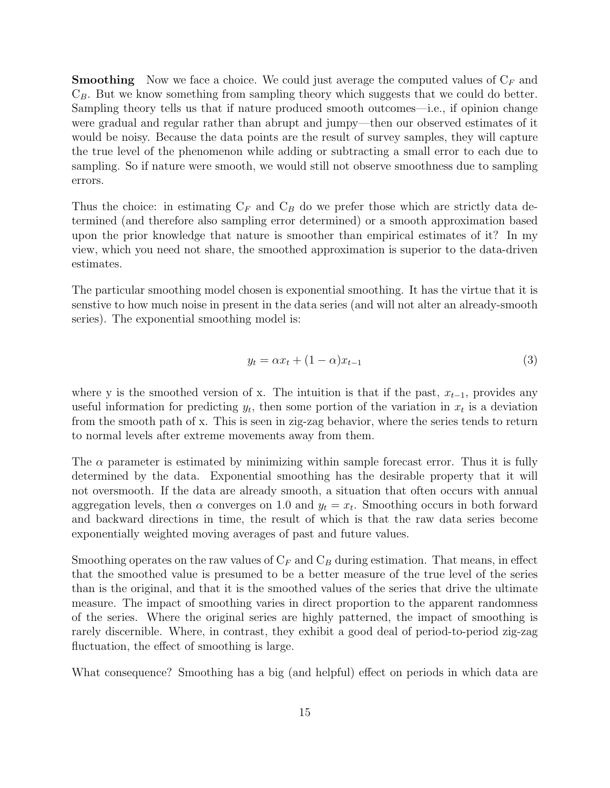**Smoothing** Now we face a choice. We could just average the computed values of  $C_F$  and  $C_B$ . But we know something from sampling theory which suggests that we could do better. Sampling theory tells us that if nature produced smooth outcomes—i.e., if opinion change were gradual and regular rather than abrupt and jumpy—then our observed estimates of it would be noisy. Because the data points are the result of survey samples, they will capture the true level of the phenomenon while adding or subtracting a small error to each due to sampling. So if nature were smooth, we would still not observe smoothness due to sampling errors.

Thus the choice: in estimating  $C_F$  and  $C_B$  do we prefer those which are strictly data determined (and therefore also sampling error determined) or a smooth approximation based upon the prior knowledge that nature is smoother than empirical estimates of it? In my view, which you need not share, the smoothed approximation is superior to the data-driven estimates.

The particular smoothing model chosen is exponential smoothing. It has the virtue that it is senstive to how much noise in present in the data series (and will not alter an already-smooth series). The exponential smoothing model is:

$$
y_t = \alpha x_t + (1 - \alpha)x_{t-1} \tag{3}
$$

where y is the smoothed version of x. The intuition is that if the past,  $x_{t-1}$ , provides any useful information for predicting  $y_t$ , then some portion of the variation in  $x_t$  is a deviation from the smooth path of x. This is seen in zig-zag behavior, where the series tends to return to normal levels after extreme movements away from them.

The  $\alpha$  parameter is estimated by minimizing within sample forecast error. Thus it is fully determined by the data. Exponential smoothing has the desirable property that it will not oversmooth. If the data are already smooth, a situation that often occurs with annual aggregation levels, then  $\alpha$  converges on 1.0 and  $y_t = x_t$ . Smoothing occurs in both forward and backward directions in time, the result of which is that the raw data series become exponentially weighted moving averages of past and future values.

Smoothing operates on the raw values of  $C_F$  and  $C_B$  during estimation. That means, in effect that the smoothed value is presumed to be a better measure of the true level of the series than is the original, and that it is the smoothed values of the series that drive the ultimate measure. The impact of smoothing varies in direct proportion to the apparent randomness of the series. Where the original series are highly patterned, the impact of smoothing is rarely discernible. Where, in contrast, they exhibit a good deal of period-to-period zig-zag fluctuation, the effect of smoothing is large.

What consequence? Smoothing has a big (and helpful) effect on periods in which data are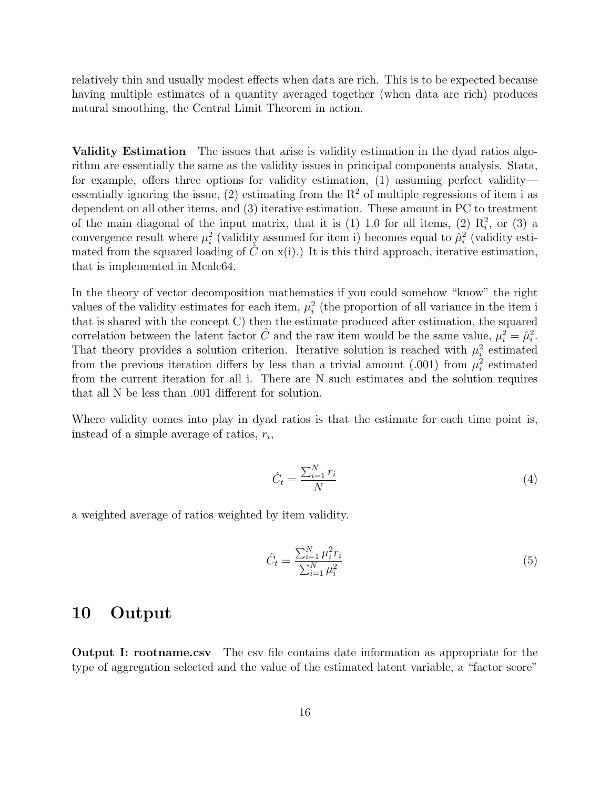relatively thin and usually modest effects when data are rich. This is to be expected because having multiple estimates of a quantity averaged together (when data are rich) produces natural smoothing, the Central Limit Theorem in action.

Validity Estimation The issues that arise is validity estimation in the dyad ratios algorithm are essentially the same as the validity issues in principal components analysis. Stata, for example, offers three options for validity estimation, (1) assuming perfect validity essentially ignoring the issue, (2) estimating from the  $R^2$  of multiple regressions of item i as dependent on all other items, and (3) iterative estimation. These amount in PC to treatment of the main diagonal of the input matrix, that it is  $(1)$  1.0 for all items,  $(2)$   $R_i^2$ , or  $(3)$  a convergence result where  $\mu_i^2$  (validity assumed for item i) becomes equal to  $\hat{\mu}_i^2$  (validity estimated from the squared loading of  $\hat{C}$  on  $x(i)$ .) It is this third approach, iterative estimation, that is implemented in Mcalc64.

In the theory of vector decomposition mathematics if you could somehow "know" the right values of the validity estimates for each item,  $\mu_i^2$  (the proportion of all variance in the item i that is shared with the concept C) then the estimate produced after estimation, the squared correlation between the latent factor  $\hat{C}$  and the raw item would be the same value,  $\mu_i^2 = \hat{\mu}_i^2$ . That theory provides a solution criterion. Iterative solution is reached with  $\mu_i^2$  estimated from the previous iteration differs by less than a trivial amount (.001) from  $\mu_i^2$  estimated from the current iteration for all i. There are N such estimates and the solution requires that all N be less than .001 different for solution.

Where validity comes into play in dyad ratios is that the estimate for each time point is, instead of a simple average of ratios,  $r_i$ ,

$$
\hat{C}_t = \frac{\sum_{i=1}^N r_i}{N} \tag{4}
$$

a weighted average of ratios weighted by item validity.

$$
\hat{C}_t = \frac{\sum_{i=1}^N \mu_i^2 r_i}{\sum_{i=1}^N \mu_i^2}
$$
\n(5)

### 10 Output

Output I: rootname.csv The csv file contains date information as appropriate for the type of aggregation selected and the value of the estimated latent variable, a "factor score"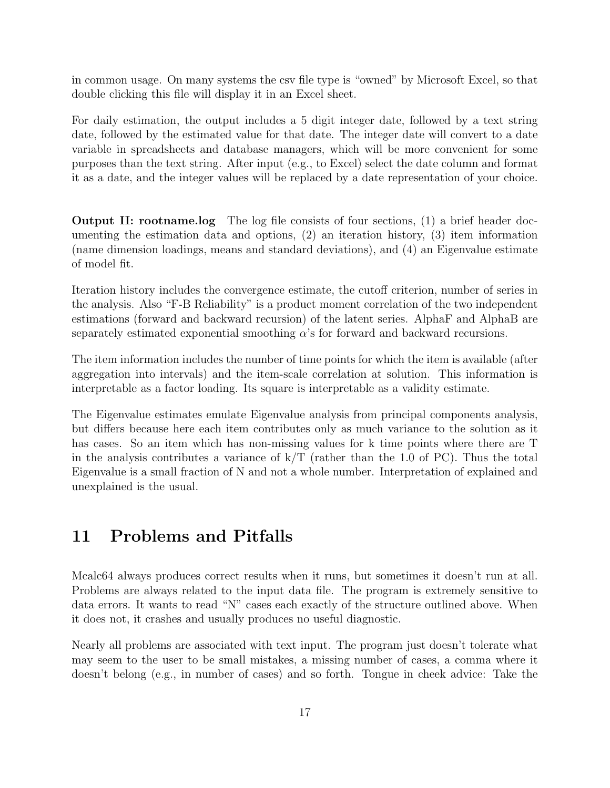in common usage. On many systems the csv file type is "owned" by Microsoft Excel, so that double clicking this file will display it in an Excel sheet.

For daily estimation, the output includes a 5 digit integer date, followed by a text string date, followed by the estimated value for that date. The integer date will convert to a date variable in spreadsheets and database managers, which will be more convenient for some purposes than the text string. After input (e.g., to Excel) select the date column and format it as a date, and the integer values will be replaced by a date representation of your choice.

Output II: rootname.log The log file consists of four sections, (1) a brief header documenting the estimation data and options, (2) an iteration history, (3) item information (name dimension loadings, means and standard deviations), and (4) an Eigenvalue estimate of model fit.

Iteration history includes the convergence estimate, the cutoff criterion, number of series in the analysis. Also "F-B Reliability" is a product moment correlation of the two independent estimations (forward and backward recursion) of the latent series. AlphaF and AlphaB are separately estimated exponential smoothing  $\alpha$ 's for forward and backward recursions.

The item information includes the number of time points for which the item is available (after aggregation into intervals) and the item-scale correlation at solution. This information is interpretable as a factor loading. Its square is interpretable as a validity estimate.

The Eigenvalue estimates emulate Eigenvalue analysis from principal components analysis, but differs because here each item contributes only as much variance to the solution as it has cases. So an item which has non-missing values for k time points where there are T in the analysis contributes a variance of  $k/T$  (rather than the 1.0 of PC). Thus the total Eigenvalue is a small fraction of N and not a whole number. Interpretation of explained and unexplained is the usual.

## 11 Problems and Pitfalls

Mcalc64 always produces correct results when it runs, but sometimes it doesn't run at all. Problems are always related to the input data file. The program is extremely sensitive to data errors. It wants to read "N" cases each exactly of the structure outlined above. When it does not, it crashes and usually produces no useful diagnostic.

Nearly all problems are associated with text input. The program just doesn't tolerate what may seem to the user to be small mistakes, a missing number of cases, a comma where it doesn't belong (e.g., in number of cases) and so forth. Tongue in cheek advice: Take the